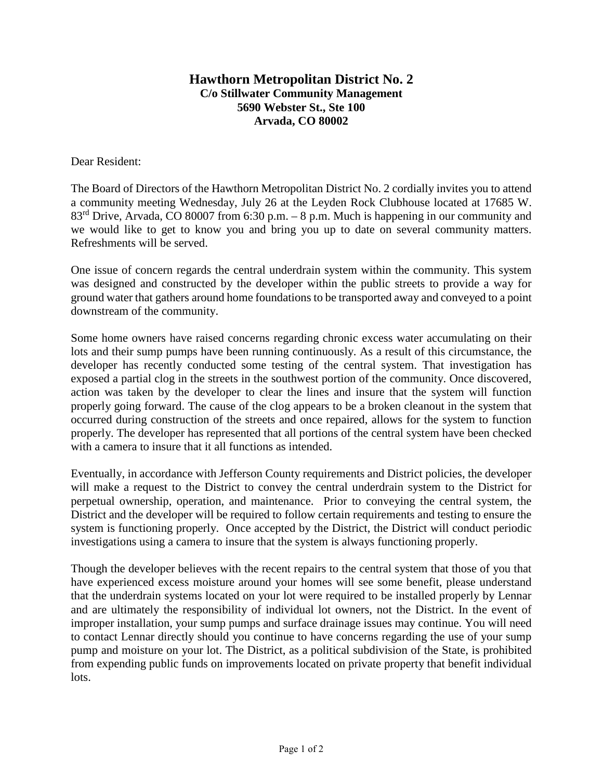## **Hawthorn Metropolitan District No. 2 C/o Stillwater Community Management 5690 Webster St., Ste 100 Arvada, CO 80002**

Dear Resident:

The Board of Directors of the Hawthorn Metropolitan District No. 2 cordially invites you to attend a community meeting Wednesday, July 26 at the Leyden Rock Clubhouse located at 17685 W. 83<sup>rd</sup> Drive, Arvada, CO 80007 from 6:30 p.m. – 8 p.m. Much is happening in our community and we would like to get to know you and bring you up to date on several community matters. Refreshments will be served.

One issue of concern regards the central underdrain system within the community. This system was designed and constructed by the developer within the public streets to provide a way for ground water that gathers around home foundations to be transported away and conveyed to a point downstream of the community.

Some home owners have raised concerns regarding chronic excess water accumulating on their lots and their sump pumps have been running continuously. As a result of this circumstance, the developer has recently conducted some testing of the central system. That investigation has exposed a partial clog in the streets in the southwest portion of the community. Once discovered, action was taken by the developer to clear the lines and insure that the system will function properly going forward. The cause of the clog appears to be a broken cleanout in the system that occurred during construction of the streets and once repaired, allows for the system to function properly. The developer has represented that all portions of the central system have been checked with a camera to insure that it all functions as intended.

Eventually, in accordance with Jefferson County requirements and District policies, the developer will make a request to the District to convey the central underdrain system to the District for perpetual ownership, operation, and maintenance. Prior to conveying the central system, the District and the developer will be required to follow certain requirements and testing to ensure the system is functioning properly. Once accepted by the District, the District will conduct periodic investigations using a camera to insure that the system is always functioning properly.

Though the developer believes with the recent repairs to the central system that those of you that have experienced excess moisture around your homes will see some benefit, please understand that the underdrain systems located on your lot were required to be installed properly by Lennar and are ultimately the responsibility of individual lot owners, not the District. In the event of improper installation, your sump pumps and surface drainage issues may continue. You will need to contact Lennar directly should you continue to have concerns regarding the use of your sump pump and moisture on your lot. The District, as a political subdivision of the State, is prohibited from expending public funds on improvements located on private property that benefit individual lots.